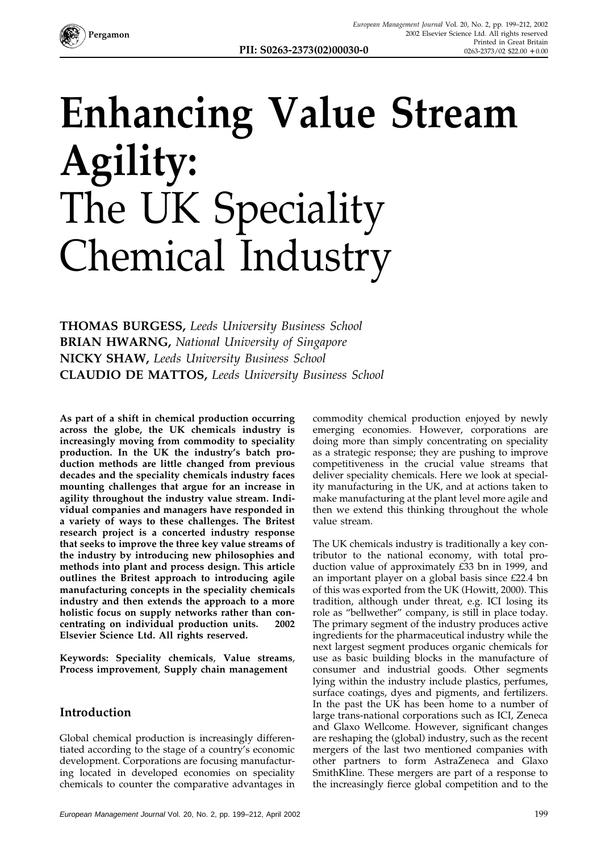

**PII: S0263-2373(02)00030-0** 

# **Enhancing Value Stream Agility:** The UK Speciality Chemical Industry

**THOMAS BURGESS,** *Leeds University Business School* **BRIAN HWARNG,** *National University of Singapore* **NICKY SHAW,** *Leeds University Business School* **CLAUDIO DE MATTOS,** *Leeds University Business School*

**As part of a shift in chemical production occurring across the globe, the UK chemicals industry is increasingly moving from commodity to speciality production. In the UK the industry's batch production methods are little changed from previous decades and the speciality chemicals industry faces mounting challenges that argue for an increase in agility throughout the industry value stream. Individual companies and managers have responded in a variety of ways to these challenges. The Britest research project is a concerted industry response that seeks to improve the three key value streams of the industry by introducing new philosophies and methods into plant and process design. This article outlines the Britest approach to introducing agile manufacturing concepts in the speciality chemicals industry and then extends the approach to a more holistic focus on supply networks rather than concentrating on individual production units. 2002 Elsevier Science Ltd. All rights reserved.**

**Keywords: Speciality chemicals**, **Value streams**, **Process improvement**, **Supply chain management**

#### **Introduction**

Global chemical production is increasingly differentiated according to the stage of a country's economic development. Corporations are focusing manufacturing located in developed economies on speciality chemicals to counter the comparative advantages in

commodity chemical production enjoyed by newly emerging economies. However, corporations are doing more than simply concentrating on speciality as a strategic response; they are pushing to improve competitiveness in the crucial value streams that deliver speciality chemicals. Here we look at speciality manufacturing in the UK, and at actions taken to make manufacturing at the plant level more agile and then we extend this thinking throughout the whole value stream.

The UK chemicals industry is traditionally a key contributor to the national economy, with total production value of approximately £33 bn in 1999, and an important player on a global basis since £22.4 bn of this was exported from the UK (Howitt, 2000). This tradition, although under threat, e.g. ICI losing its role as "bellwether" company, is still in place today. The primary segment of the industry produces active ingredients for the pharmaceutical industry while the next largest segment produces organic chemicals for use as basic building blocks in the manufacture of consumer and industrial goods. Other segments lying within the industry include plastics, perfumes, surface coatings, dyes and pigments, and fertilizers. In the past the UK has been home to a number of large trans-national corporations such as ICI, Zeneca and Glaxo Wellcome. However, significant changes are reshaping the (global) industry, such as the recent mergers of the last two mentioned companies with other partners to form AstraZeneca and Glaxo SmithKline. These mergers are part of a response to the increasingly fierce global competition and to the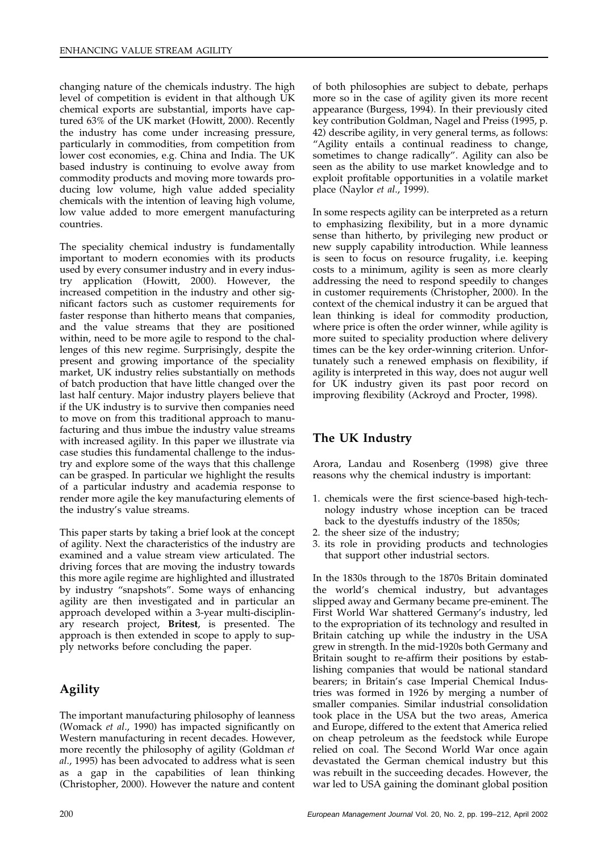changing nature of the chemicals industry. The high level of competition is evident in that although UK chemical exports are substantial, imports have captured 63% of the UK market (Howitt, 2000). Recently the industry has come under increasing pressure, particularly in commodities, from competition from lower cost economies, e.g. China and India. The UK based industry is continuing to evolve away from commodity products and moving more towards producing low volume, high value added speciality chemicals with the intention of leaving high volume, low value added to more emergent manufacturing countries.

The speciality chemical industry is fundamentally important to modern economies with its products used by every consumer industry and in every industry application (Howitt, 2000). However, the increased competition in the industry and other significant factors such as customer requirements for faster response than hitherto means that companies, and the value streams that they are positioned within, need to be more agile to respond to the challenges of this new regime. Surprisingly, despite the present and growing importance of the speciality market, UK industry relies substantially on methods of batch production that have little changed over the last half century. Major industry players believe that if the UK industry is to survive then companies need to move on from this traditional approach to manufacturing and thus imbue the industry value streams with increased agility. In this paper we illustrate via case studies this fundamental challenge to the industry and explore some of the ways that this challenge can be grasped. In particular we highlight the results of a particular industry and academia response to render more agile the key manufacturing elements of the industry's value streams.

This paper starts by taking a brief look at the concept of agility. Next the characteristics of the industry are examined and a value stream view articulated. The driving forces that are moving the industry towards this more agile regime are highlighted and illustrated by industry "snapshots". Some ways of enhancing agility are then investigated and in particular an approach developed within a 3-year multi-disciplinary research project, **Britest**, is presented. The approach is then extended in scope to apply to supply networks before concluding the paper.

### **Agility**

The important manufacturing philosophy of leanness (Womack *et al*., 1990) has impacted significantly on Western manufacturing in recent decades. However, more recently the philosophy of agility (Goldman *et al*., 1995) has been advocated to address what is seen as a gap in the capabilities of lean thinking (Christopher, 2000). However the nature and content

of both philosophies are subject to debate, perhaps more so in the case of agility given its more recent appearance (Burgess, 1994). In their previously cited key contribution Goldman, Nagel and Preiss (1995, p. 42) describe agility, in very general terms, as follows: "Agility entails a continual readiness to change, sometimes to change radically". Agility can also be seen as the ability to use market knowledge and to exploit profitable opportunities in a volatile market place (Naylor *et al*., 1999).

In some respects agility can be interpreted as a return to emphasizing flexibility, but in a more dynamic sense than hitherto, by privileging new product or new supply capability introduction. While leanness is seen to focus on resource frugality, i.e. keeping costs to a minimum, agility is seen as more clearly addressing the need to respond speedily to changes in customer requirements (Christopher, 2000). In the context of the chemical industry it can be argued that lean thinking is ideal for commodity production, where price is often the order winner, while agility is more suited to speciality production where delivery times can be the key order-winning criterion. Unfortunately such a renewed emphasis on flexibility, if agility is interpreted in this way, does not augur well for UK industry given its past poor record on improving flexibility (Ackroyd and Procter, 1998).

### **The UK Industry**

Arora, Landau and Rosenberg (1998) give three reasons why the chemical industry is important:

- 1. chemicals were the first science-based high-technology industry whose inception can be traced back to the dyestuffs industry of the 1850s;
- 2. the sheer size of the industry;
- 3. its role in providing products and technologies that support other industrial sectors.

In the 1830s through to the 1870s Britain dominated the world's chemical industry, but advantages slipped away and Germany became pre-eminent. The First World War shattered Germany's industry, led to the expropriation of its technology and resulted in Britain catching up while the industry in the USA grew in strength. In the mid-1920s both Germany and Britain sought to re-affirm their positions by establishing companies that would be national standard bearers; in Britain's case Imperial Chemical Industries was formed in 1926 by merging a number of smaller companies. Similar industrial consolidation took place in the USA but the two areas, America and Europe, differed to the extent that America relied on cheap petroleum as the feedstock while Europe relied on coal. The Second World War once again devastated the German chemical industry but this was rebuilt in the succeeding decades. However, the war led to USA gaining the dominant global position